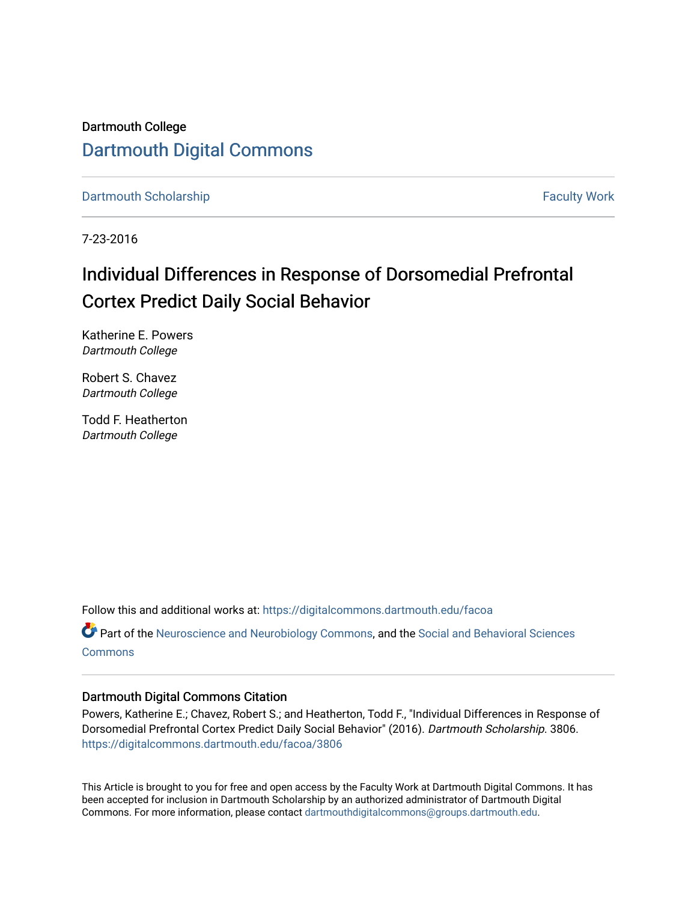Dartmouth College [Dartmouth Digital Commons](https://digitalcommons.dartmouth.edu/) 

[Dartmouth Scholarship](https://digitalcommons.dartmouth.edu/facoa) Faculty Work

7-23-2016

## Individual Differences in Response of Dorsomedial Prefrontal Cortex Predict Daily Social Behavior

Katherine E. Powers Dartmouth College

Robert S. Chavez Dartmouth College

Todd F. Heatherton Dartmouth College

Follow this and additional works at: [https://digitalcommons.dartmouth.edu/facoa](https://digitalcommons.dartmouth.edu/facoa?utm_source=digitalcommons.dartmouth.edu%2Ffacoa%2F3806&utm_medium=PDF&utm_campaign=PDFCoverPages)

Part of the [Neuroscience and Neurobiology Commons,](http://network.bepress.com/hgg/discipline/55?utm_source=digitalcommons.dartmouth.edu%2Ffacoa%2F3806&utm_medium=PDF&utm_campaign=PDFCoverPages) and the [Social and Behavioral Sciences](http://network.bepress.com/hgg/discipline/316?utm_source=digitalcommons.dartmouth.edu%2Ffacoa%2F3806&utm_medium=PDF&utm_campaign=PDFCoverPages) **[Commons](http://network.bepress.com/hgg/discipline/316?utm_source=digitalcommons.dartmouth.edu%2Ffacoa%2F3806&utm_medium=PDF&utm_campaign=PDFCoverPages)** 

## Dartmouth Digital Commons Citation

Powers, Katherine E.; Chavez, Robert S.; and Heatherton, Todd F., "Individual Differences in Response of Dorsomedial Prefrontal Cortex Predict Daily Social Behavior" (2016). Dartmouth Scholarship. 3806. [https://digitalcommons.dartmouth.edu/facoa/3806](https://digitalcommons.dartmouth.edu/facoa/3806?utm_source=digitalcommons.dartmouth.edu%2Ffacoa%2F3806&utm_medium=PDF&utm_campaign=PDFCoverPages) 

This Article is brought to you for free and open access by the Faculty Work at Dartmouth Digital Commons. It has been accepted for inclusion in Dartmouth Scholarship by an authorized administrator of Dartmouth Digital Commons. For more information, please contact [dartmouthdigitalcommons@groups.dartmouth.edu](mailto:dartmouthdigitalcommons@groups.dartmouth.edu).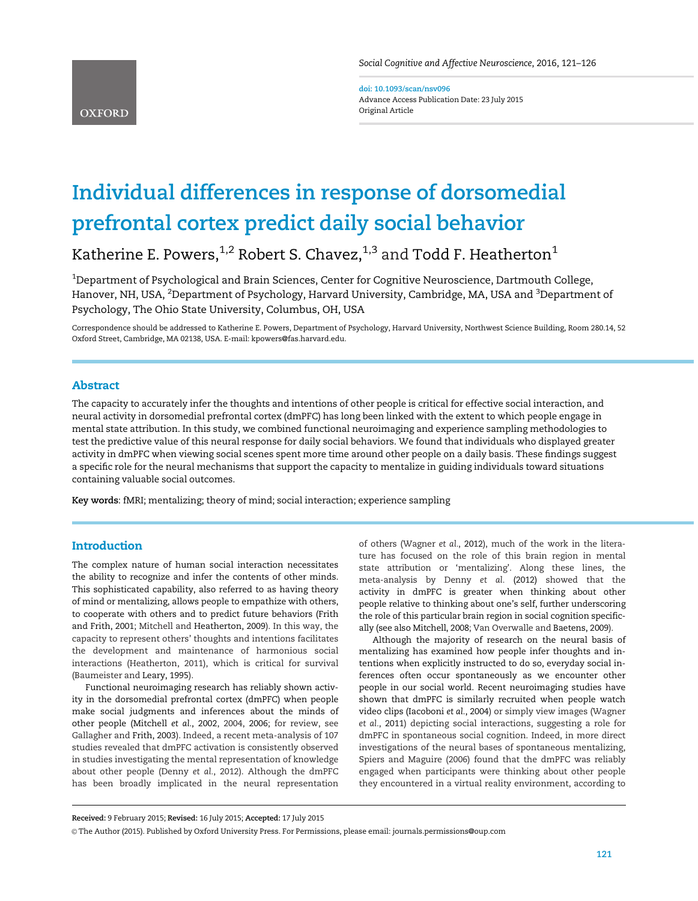doi: 10.1093/scan/nsv096 Advance Access Publication Date: 23 July 2015 Original Article

# Individual differences in response of dorsomedial prefrontal cortex predict daily social behavior

Katherine E. Powers,<sup>1,2</sup> Robert S. Chavez,<sup>1,3</sup> and Todd F. Heatherton<sup>1</sup>

 $^{\rm 1}$ Department of Psychological and Brain Sciences, Center for Cognitive Neuroscience, Dartmouth College, Hanover, NH, USA, <sup>2</sup>Department of Psychology, Harvard University, Cambridge, MA, USA and <sup>3</sup>Department of Psychology, The Ohio State University, Columbus, OH, USA

Correspondence should be addressed to Katherine E. Powers, Department of Psychology, Harvard University, Northwest Science Building, Room 280.14, 52 Oxford Street, Cambridge, MA 02138, USA. E-mail: kpowers@fas.harvard.edu.

## Abstract

The capacity to accurately infer the thoughts and intentions of other people is critical for effective social interaction, and neural activity in dorsomedial prefrontal cortex (dmPFC) has long been linked with the extent to which people engage in mental state attribution. In this study, we combined functional neuroimaging and experience sampling methodologies to test the predictive value of this neural response for daily social behaviors. We found that individuals who displayed greater activity in dmPFC when viewing social scenes spent more time around other people on a daily basis. These findings suggest a specific role for the neural mechanisms that support the capacity to mentalize in guiding individuals toward situations containing valuable social outcomes.

Key words: fMRI; mentalizing; theory of mind; social interaction; experience sampling

## **Introduction**

The complex nature of human social interaction necessitates the ability to recognize and infer the contents of other minds. This sophisticated capability, also referred to as having theory of mind or mentalizing, allows people to empathize with others, to cooperate with others and to predict future behaviors ([Frith](#page-5-0) [and Frith, 2001;](#page-5-0) [Mitchell](#page-6-0) and [Heatherton, 2009](#page-6-0)). In this way, the capacity to represent others' thoughts and intentions facilitates the development and maintenance of harmonious social interactions ([Heatherton, 2011](#page-5-0)), which is critical for survival [\(Baumeister](#page-5-0) and [Leary, 1995](#page-5-0)).

Functional neuroimaging research has reliably shown activity in the dorsomedial prefrontal cortex (dmPFC) when people make social judgments and inferences about the minds of other people ([Mitchell](#page-6-0) et al.[, 2002, 2004,](#page-6-0) [2006](#page-6-0); for review, see [Gallagher](#page-5-0) and [Frith, 2003](#page-5-0)). Indeed, a recent meta-analysis of 107 studies revealed that dmPFC activation is consistently observed in studies investigating the mental representation of knowledge about other people ([Denny](#page-5-0) et al., 2012). Although the dmPFC has been broadly implicated in the neural representation

of others ([Wagner](#page-6-0) [et al.](#page-6-0), 2012), much of the work in the literature has focused on the role of this brain region in mental state attribution or 'mentalizing'. Along these lines, the meta-analysis by [Denny](#page-5-0) [et al.](#page-5-0) (2012) showed that the activity in dmPFC is greater when thinking about other people relative to thinking about one's self, further underscoring the role of this particular brain region in social cognition specifically (see also [Mitchell, 2008; Van Overwalle a](#page-6-0)nd [Baetens, 2009](#page-6-0)).

Although the majority of research on the neural basis of mentalizing has examined how people infer thoughts and intentions when explicitly instructed to do so, everyday social inferences often occur spontaneously as we encounter other people in our social world. Recent neuroimaging studies have shown that dmPFC is similarly recruited when people watch video clips ([Iacoboni](#page-5-0) et al.[, 2004](#page-5-0)) or simply view images [\(Wagner](#page-6-0) [et al.](#page-6-0), 2011) depicting social interactions, suggesting a role for dmPFC in spontaneous social cognition. Indeed, in more direct investigations of the neural bases of spontaneous mentalizing, [Spiers and Maguire \(2006\)](#page-6-0) found that the dmPFC was reliably engaged when participants were thinking about other people they encountered in a virtual reality environment, according to

Received: 9 February 2015; Revised: 16 July 2015; Accepted: 17 July 2015

V<sup>C</sup> The Author (2015). Published by Oxford University Press. For Permissions, please email: journals.permissions@oup.com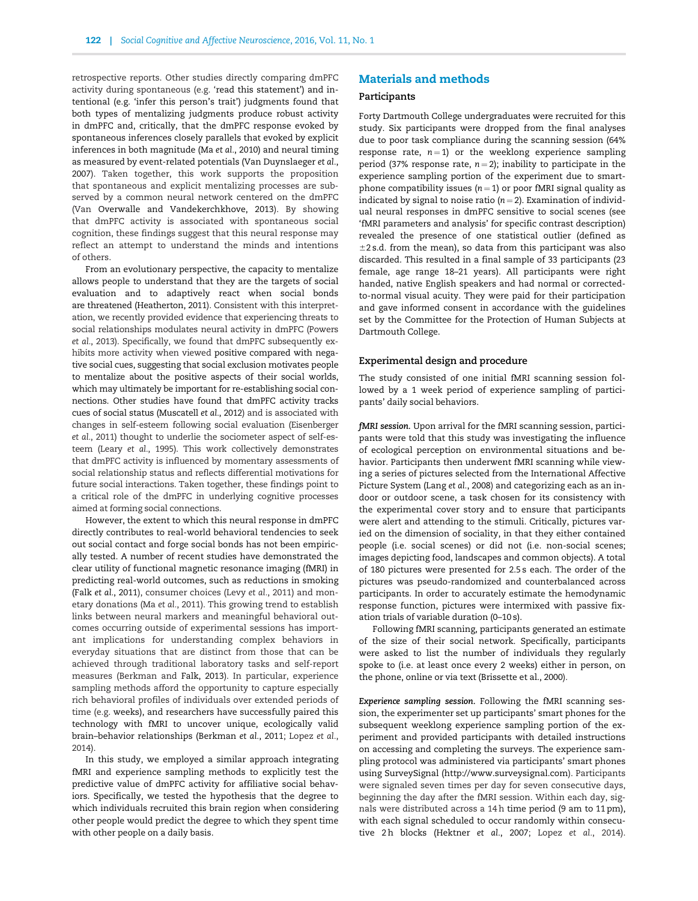retrospective reports. Other studies directly comparing dmPFC activity during spontaneous (e.g. 'read this statement') and intentional (e.g. 'infer this person's trait') judgments found that both types of mentalizing judgments produce robust activity in dmPFC and, critically, that the dmPFC response evoked by spontaneous inferences closely parallels that evoked by explicit inferences in both magnitude (Ma et al., 2010) and neural timing as measured by event-related potentials ([Van Duynslaeger](#page-6-0) et al., [2007\)](#page-6-0). Taken together, this work supports the proposition that spontaneous and explicit mentalizing processes are subserved by a common neural network centered on the dmPFC (Van [Overwalle and Vandekerchkhove, 2013](#page-6-0)). By showing that dmPFC activity is associated with spontaneous social cognition, these findings suggest that this neural response may reflect an attempt to understand the minds and intentions of others.

From an evolutionary perspective, the capacity to mentalize allows people to understand that they are the targets of social evaluation and to adaptively react when social bonds are threatened [\(Heatherton, 2011](#page-5-0)). Consistent with this interpretation, we recently provided evidence that experiencing threats to social relationships modulates neural activity in dmPFC [\(Powers](#page-6-0) et al.[, 2013\)](#page-6-0). Specifically, we found that dmPFC subsequently exhibits more activity when viewed positive compared with negative social cues, suggesting that social exclusion motivates people to mentalize about the positive aspects of their social worlds, which may ultimately be important for re-establishing social connections. Other studies have found that dmPFC activity tracks cues of social status ([Muscatell](#page-6-0) et al., 2012) and is associated with changes in self-esteem following social evaluation [\(Eisenberger](#page-5-0) et al.[, 2011](#page-5-0)) thought to underlie the sociometer aspect of self-esteem (Leary et al.[, 1995](#page-5-0)). This work collectively demonstrates that dmPFC activity is influenced by momentary assessments of social relationship status and reflects differential motivations for future social interactions. Taken together, these findings point to a critical role of the dmPFC in underlying cognitive processes aimed at forming social connections.

However, the extent to which this neural response in dmPFC directly contributes to real-world behavioral tendencies to seek out social contact and forge social bonds has not been empirically tested. A number of recent studies have demonstrated the clear utility of functional magnetic resonance imaging (fMRI) in predicting real-world outcomes, such as reductions in smoking (Falk et al.[, 2011\)](#page-5-0), consumer choices (Levy et al.[, 2011\)](#page-5-0) and monetary donations (Ma [et al.](#page-6-0), [2011\)](#page-6-0). This growing trend to establish links between neural markers and meaningful behavioral outcomes occurring outside of experimental sessions has important implications for understanding complex behaviors in everyday situations that are distinct from those that can be achieved through traditional laboratory tasks and self-report measures ([Berkman a](#page-5-0)nd [Falk, 2013\)](#page-5-0). In particular, experience sampling methods afford the opportunity to capture especially rich behavioral profiles of individuals over extended periods of time (e.g. weeks), and researchers have successfully paired this technology with fMRI to uncover unique, ecologically valid brain–behavior relationships [\(Berkman](#page-5-0) et al.[, 2011;](#page-5-0) [Lopez](#page-6-0) et al., [2014\)](#page-6-0)

In this study, we employed a similar approach integrating fMRI and experience sampling methods to explicitly test the predictive value of dmPFC activity for affiliative social behaviors. Specifically, we tested the hypothesis that the degree to which individuals recruited this brain region when considering other people would predict the degree to which they spent time with other people on a daily basis.

## Materials and methods

#### Participants

Forty Dartmouth College undergraduates were recruited for this study. Six participants were dropped from the final analyses due to poor task compliance during the scanning session (64% response rate,  $n = 1$ ) or the weeklong experience sampling period (37% response rate,  $n = 2$ ); inability to participate in the experience sampling portion of the experiment due to smartphone compatibility issues ( $n = 1$ ) or poor fMRI signal quality as indicated by signal to noise ratio ( $n = 2$ ). Examination of individual neural responses in dmPFC sensitive to social scenes (see 'fMRI parameters and analysis' for specific contrast description) revealed the presence of one statistical outlier (defined as  $\pm$ 2 s.d. from the mean), so data from this participant was also discarded. This resulted in a final sample of 33 participants (23 female, age range 18–21 years). All participants were right handed, native English speakers and had normal or correctedto-normal visual acuity. They were paid for their participation and gave informed consent in accordance with the guidelines set by the Committee for the Protection of Human Subjects at Dartmouth College.

#### Experimental design and procedure

The study consisted of one initial fMRI scanning session followed by a 1 week period of experience sampling of participants' daily social behaviors.

fMRI session. Upon arrival for the fMRI scanning session, participants were told that this study was investigating the influence of ecological perception on environmental situations and behavior. Participants then underwent fMRI scanning while viewing a series of pictures selected from the International Affective Picture System [\(Lang](#page-5-0) et al., [2008\)](#page-5-0) and categorizing each as an indoor or outdoor scene, a task chosen for its consistency with the experimental cover story and to ensure that participants were alert and attending to the stimuli. Critically, pictures varied on the dimension of sociality, in that they either contained people (i.e. social scenes) or did not (i.e. non-social scenes; images depicting food, landscapes and common objects). A total of 180 pictures were presented for 2.5 s each. The order of the pictures was pseudo-randomized and counterbalanced across participants. In order to accurately estimate the hemodynamic response function, pictures were intermixed with passive fixation trials of variable duration (0–10 s).

Following fMRI scanning, participants generated an estimate of the size of their social network. Specifically, participants were asked to list the number of individuals they regularly spoke to (i.e. at least once every 2 weeks) either in person, on the phone, online or via text [\(Brissette et al., 2000\)](#page-5-0).

Experience sampling session. Following the fMRI scanning session, the experimenter set up participants' smart phones for the subsequent weeklong experience sampling portion of the experiment and provided participants with detailed instructions on accessing and completing the surveys. The experience sampling protocol was administered via participants' smart phones using SurveySignal ([http://www.surveysignal.com\)](http://www.surveysignal.com). Participants were signaled seven times per day for seven consecutive days, beginning the day after the fMRI session. Within each day, signals were distributed across a 14 h time period (9 am to 11 pm), with each signal scheduled to occur randomly within consecu-tive 2h blocks [\(Hektner](#page-5-0) et al.[, 2007;](#page-5-0) Lopez et al.[, 2014\)](#page-6-0).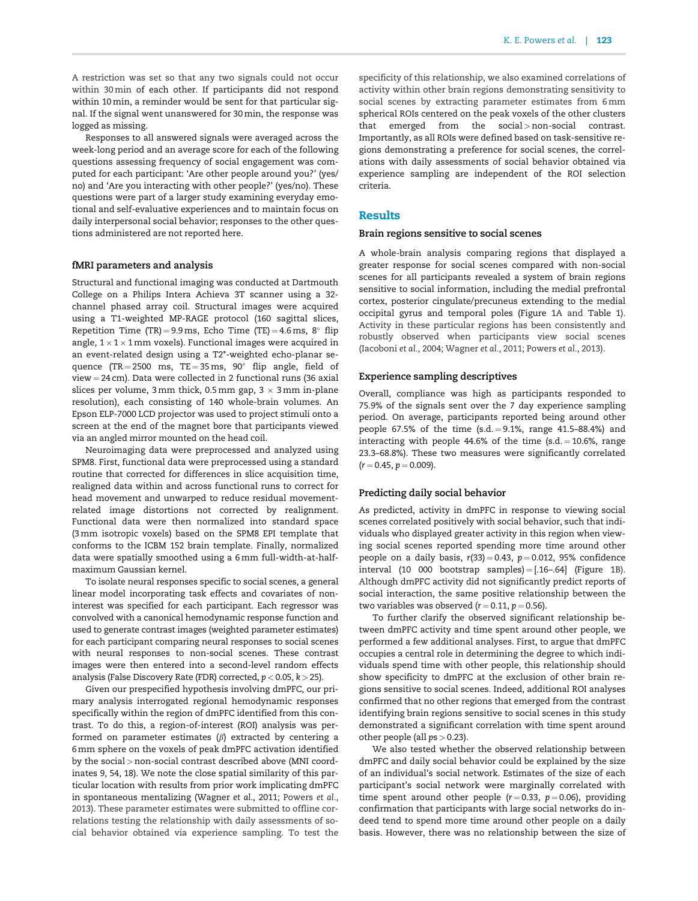A restriction was set so that any two signals could not occur within 30 min of each other. If participants did not respond within 10 min, a reminder would be sent for that particular signal. If the signal went unanswered for 30 min, the response was logged as missing.

Responses to all answered signals were averaged across the week-long period and an average score for each of the following questions assessing frequency of social engagement was computed for each participant: 'Are other people around you?' (yes/ no) and 'Are you interacting with other people?' (yes/no). These questions were part of a larger study examining everyday emotional and self-evaluative experiences and to maintain focus on daily interpersonal social behavior; responses to the other questions administered are not reported here.

#### fMRI parameters and analysis

Structural and functional imaging was conducted at Dartmouth College on a Philips Intera Achieva 3T scanner using a 32 channel phased array coil. Structural images were acquired using a T1-weighted MP-RAGE protocol (160 sagittal slices, Repetition Time (TR)=9.9 ms, Echo Time (TE)=4.6 ms, 8 $^{\circ}$  flip angle,  $1 \times 1 \times 1$  mm voxels). Functional images were acquired in an event-related design using a T2\*-weighted echo-planar sequence (TR=2500 ms, TE=35 ms, 90 $^{\circ}$  flip angle, field of  $view = 24$  cm). Data were collected in 2 functional runs (36 axial slices per volume, 3 mm thick, 0.5 mm gap,  $3 \times 3$  mm in-plane resolution), each consisting of 140 whole-brain volumes. An Epson ELP-7000 LCD projector was used to project stimuli onto a screen at the end of the magnet bore that participants viewed via an angled mirror mounted on the head coil.

Neuroimaging data were preprocessed and analyzed using SPM8. First, functional data were preprocessed using a standard routine that corrected for differences in slice acquisition time, realigned data within and across functional runs to correct for head movement and unwarped to reduce residual movementrelated image distortions not corrected by realignment. Functional data were then normalized into standard space (3 mm isotropic voxels) based on the SPM8 EPI template that conforms to the ICBM 152 brain template. Finally, normalized data were spatially smoothed using a 6 mm full-width-at-halfmaximum Gaussian kernel.

To isolate neural responses specific to social scenes, a general linear model incorporating task effects and covariates of noninterest was specified for each participant. Each regressor was convolved with a canonical hemodynamic response function and used to generate contrast images (weighted parameter estimates) for each participant comparing neural responses to social scenes with neural responses to non-social scenes. These contrast images were then entered into a second-level random effects analysis (False Discovery Rate (FDR) corrected,  $p < 0.05$ ,  $k > 25$ ).

Given our prespecified hypothesis involving dmPFC, our primary analysis interrogated regional hemodynamic responses specifically within the region of dmPFC identified from this contrast. To do this, a region-of-interest (ROI) analysis was performed on parameter estimates  $(\beta)$  extracted by centering a 6 mm sphere on the voxels of peak dmPFC activation identified by the social > non-social contrast described above (MNI coordinates 9, 54, 18). We note the close spatial similarity of this particular location with results from prior work implicating dmPFC in spontaneous mentalizing [\(Wagner](#page-6-0) et al., 2011; [Powers](#page-6-0) et al., [2013\)](#page-6-0). These parameter estimates were submitted to offline correlations testing the relationship with daily assessments of social behavior obtained via experience sampling. To test the specificity of this relationship, we also examined correlations of activity within other brain regions demonstrating sensitivity to social scenes by extracting parameter estimates from 6 mm spherical ROIs centered on the peak voxels of the other clusters that emerged from the  $social>non-social$  contrast. Importantly, as all ROIs were defined based on task-sensitive regions demonstrating a preference for social scenes, the correlations with daily assessments of social behavior obtained via experience sampling are independent of the ROI selection criteria.

#### Results

#### Brain regions sensitive to social scenes

A whole-brain analysis comparing regions that displayed a greater response for social scenes compared with non-social scenes for all participants revealed a system of brain regions sensitive to social information, including the medial prefrontal cortex, posterior cingulate/precuneus extending to the medial occipital gyrus and temporal poles ([Figure 1](#page-4-0)A and [Table 1\)](#page-4-0). Activity in these particular regions has been consistently and robustly observed when participants view social scenes [\(Iacoboni](#page-5-0) et al., 2004; [Wagner](#page-6-0) et al., 2011; [Powers](#page-6-0) et al., 2013).

#### Experience sampling descriptives

Overall, compliance was high as participants responded to 75.9% of the signals sent over the 7 day experience sampling period. On average, participants reported being around other people  $67.5%$  of the time  $(s.d. = 9.1%,$  range  $41.5-88.4%$  and interacting with people 44.6% of the time  $(s.d. = 10.6\%$ , range 23.3–68.8%). These two measures were significantly correlated  $(r = 0.45, p = 0.009).$ 

#### Predicting daily social behavior

As predicted, activity in dmPFC in response to viewing social scenes correlated positively with social behavior, such that individuals who displayed greater activity in this region when viewing social scenes reported spending more time around other people on a daily basis,  $r(33) = 0.43$ ,  $p = 0.012$ , 95% confidence interval (10 000 bootstrap samples) =  $[.16-.64]$  ([Figure 1](#page-4-0)B). Although dmPFC activity did not significantly predict reports of social interaction, the same positive relationship between the two variables was observed  $(r = 0.11, p = 0.56)$ .

To further clarify the observed significant relationship between dmPFC activity and time spent around other people, we performed a few additional analyses. First, to argue that dmPFC occupies a central role in determining the degree to which individuals spend time with other people, this relationship should show specificity to dmPFC at the exclusion of other brain regions sensitive to social scenes. Indeed, additional ROI analyses confirmed that no other regions that emerged from the contrast identifying brain regions sensitive to social scenes in this study demonstrated a significant correlation with time spent around other people (all  $ps > 0.23$ ).

We also tested whether the observed relationship between dmPFC and daily social behavior could be explained by the size of an individual's social network. Estimates of the size of each participant's social network were marginally correlated with time spent around other people ( $r = 0.33$ ,  $p = 0.06$ ), providing confirmation that participants with large social networks do indeed tend to spend more time around other people on a daily basis. However, there was no relationship between the size of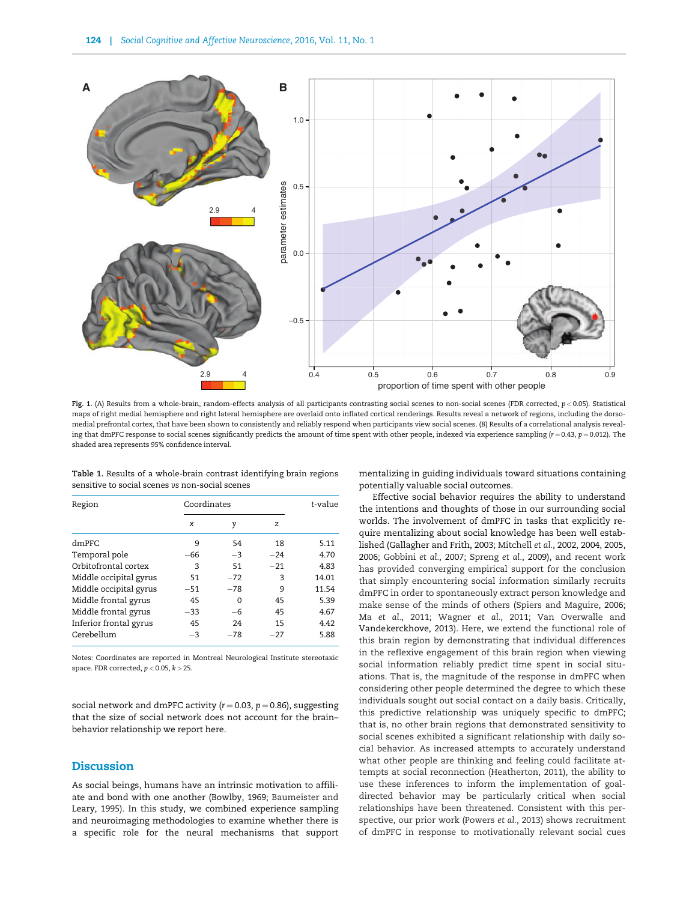<span id="page-4-0"></span>

Fig. 1. (A) Results from a whole-brain, random-effects analysis of all participants contrasting social scenes to non-social scenes (FDR corrected, p < 0.05). Statistical maps of right medial hemisphere and right lateral hemisphere are overlaid onto inflated cortical renderings. Results reveal a network of regions, including the dorsomedial prefrontal cortex, that have been shown to consistently and reliably respond when participants view social scenes. (B) Results of a correlational analysis revealing that dmPFC response to social scenes significantly predicts the amount of time spent with other people, indexed via experience sampling ( $r = 0.43$ ,  $p = 0.012$ ). The shaded area represents 95% confidence interval.

|  |                                                 | Table 1. Results of a whole-brain contrast identifying brain regions |  |
|--|-------------------------------------------------|----------------------------------------------------------------------|--|
|  | sensitive to social scenes vs non-social scenes |                                                                      |  |

| Region                 | Coordinates | t-value  |       |       |
|------------------------|-------------|----------|-------|-------|
|                        | x           | γ        | Z     |       |
| dmPFC                  | 9           | 54       | 18    | 5.11  |
| Temporal pole          | $-66$       | $-3$     | $-24$ | 4.70  |
| Orbitofrontal cortex   | 3           | 51       | $-21$ | 4.83  |
| Middle occipital gyrus | 51          | $-72$    | 3     | 14.01 |
| Middle occipital gyrus | $-51$       | $-78$    | 9     | 11.54 |
| Middle frontal gyrus   | 45          | $\Omega$ | 45    | 5.39  |
| Middle frontal gyrus   | $-33$       | $-6$     | 45    | 4.67  |
| Inferior frontal gyrus | 45          | 24       | 15    | 4.42  |
| Cerebellum             | $-3$        | $-78$    | $-27$ | 5.88  |

Notes: Coordinates are reported in Montreal Neurological Institute stereotaxic space. FDR corrected,  $p < 0.05$ ,  $k > 25$ .

social network and dmPFC activity ( $r = 0.03$ ,  $p = 0.86$ ), suggesting that the size of social network does not account for the brain– behavior relationship we report here.

## **Discussion**

As social beings, humans have an intrinsic motivation to affiliate and bond with one another ([Bowlby, 1969; Baumeister and](#page-5-0) [Leary, 1995\)](#page-5-0). In this study, we combined experience sampling and neuroimaging methodologies to examine whether there is a specific role for the neural mechanisms that support mentalizing in guiding individuals toward situations containing potentially valuable social outcomes.

Effective social behavior requires the ability to understand the intentions and thoughts of those in our surrounding social worlds. The involvement of dmPFC in tasks that explicitly require mentalizing about social knowledge has been well established ([Gallagher and Frith, 2003](#page-5-0); [Mitchell](#page-6-0) et al., [2002,](#page-6-0) [2004](#page-6-0), [2005](#page-6-0), [2006;](#page-6-0) [Gobbini](#page-5-0) et al., [2007](#page-5-0); [Spreng](#page-6-0) et al., [2009\)](#page-6-0), and recent work has provided converging empirical support for the conclusion that simply encountering social information similarly recruits dmPFC in order to spontaneously extract person knowledge and make sense of the minds of others [\(Spiers and Maguire, 2006](#page-6-0); Ma [et al.](#page-6-0), [2011; Wagner](#page-6-0) et al., 2011; [Van Overwalle and](#page-6-0) [Vandekerckhove, 2013\)](#page-6-0). Here, we extend the functional role of this brain region by demonstrating that individual differences in the reflexive engagement of this brain region when viewing social information reliably predict time spent in social situations. That is, the magnitude of the response in dmPFC when considering other people determined the degree to which these individuals sought out social contact on a daily basis. Critically, this predictive relationship was uniquely specific to dmPFC; that is, no other brain regions that demonstrated sensitivity to social scenes exhibited a significant relationship with daily social behavior. As increased attempts to accurately understand what other people are thinking and feeling could facilitate attempts at social reconnection ([Heatherton, 2011](#page-5-0)), the ability to use these inferences to inform the implementation of goaldirected behavior may be particularly critical when social relationships have been threatened. Consistent with this perspective, our prior work [\(Powers](#page-6-0) et al., 2013) shows recruitment of dmPFC in response to motivationally relevant social cues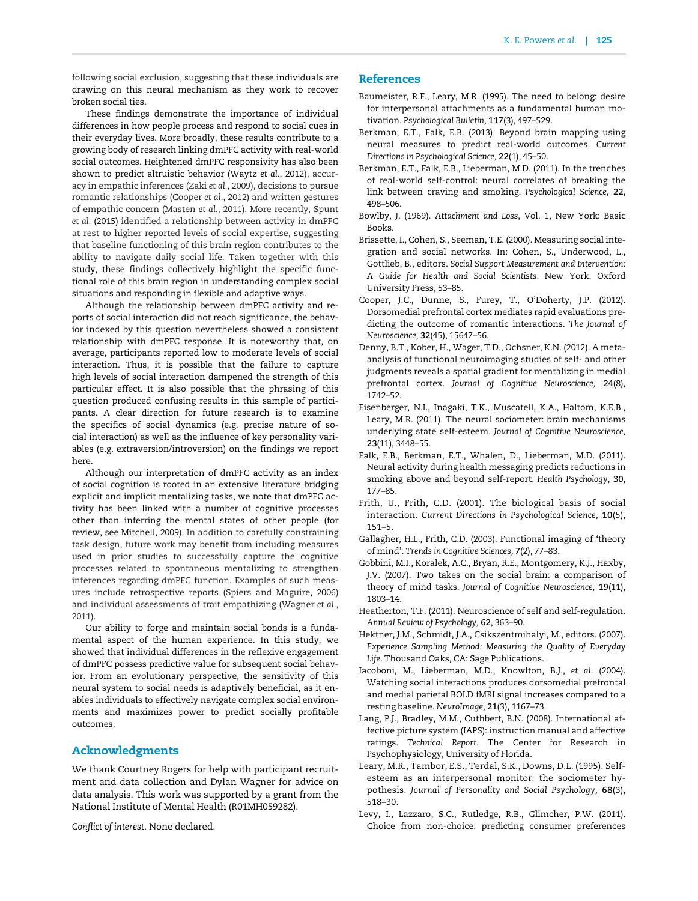<span id="page-5-0"></span>following social exclusion, suggesting that these individuals are drawing on this neural mechanism as they work to recover broken social ties.

These findings demonstrate the importance of individual differences in how people process and respond to social cues in their everyday lives. More broadly, these results contribute to a growing body of research linking dmPFC activity with real-world social outcomes. Heightened dmPFC responsivity has also been shown to predict altruistic behavior [\(Waytz](#page-6-0) et al., 2012), accuracy in empathic inferences (Zaki et al.[, 2009](#page-6-0)), decisions to pursue romantic relationships (Cooper et al., 2012) and written gestures of empathic concern ([Masten](#page-6-0) et al., 2011). More recently, [Spunt](#page-6-0) et al. [\(2015\)](#page-6-0) identified a relationship between activity in dmPFC at rest to higher reported levels of social expertise, suggesting that baseline functioning of this brain region contributes to the ability to navigate daily social life. Taken together with this study, these findings collectively highlight the specific functional role of this brain region in understanding complex social situations and responding in flexible and adaptive ways.

Although the relationship between dmPFC activity and reports of social interaction did not reach significance, the behavior indexed by this question nevertheless showed a consistent relationship with dmPFC response. It is noteworthy that, on average, participants reported low to moderate levels of social interaction. Thus, it is possible that the failure to capture high levels of social interaction dampened the strength of this particular effect. It is also possible that the phrasing of this question produced confusing results in this sample of participants. A clear direction for future research is to examine the specifics of social dynamics (e.g. precise nature of social interaction) as well as the influence of key personality variables (e.g. extraversion/introversion) on the findings we report here.

Although our interpretation of dmPFC activity as an index of social cognition is rooted in an extensive literature bridging explicit and implicit mentalizing tasks, we note that dmPFC activity has been linked with a number of cognitive processes other than inferring the mental states of other people (for review, see [Mitchell, 2009](#page-6-0)). In addition to carefully constraining task design, future work may benefit from including measures used in prior studies to successfully capture the cognitive processes related to spontaneous mentalizing to strengthen inferences regarding dmPFC function. Examples of such measures include retrospective reports [\(Spiers and Maguire, 2006\)](#page-6-0) and individual assessments of trait empathizing [\(Wagner](#page-6-0) et al., [2011\)](#page-6-0).

Our ability to forge and maintain social bonds is a fundamental aspect of the human experience. In this study, we showed that individual differences in the reflexive engagement of dmPFC possess predictive value for subsequent social behavior. From an evolutionary perspective, the sensitivity of this neural system to social needs is adaptively beneficial, as it enables individuals to effectively navigate complex social environments and maximizes power to predict socially profitable outcomes.

## Acknowledgments

We thank Courtney Rogers for help with participant recruitment and data collection and Dylan Wagner for advice on data analysis. This work was supported by a grant from the National Institute of Mental Health (R01MH059282).

Conflict of interest. None declared.

### **References**

- Baumeister, R.F., Leary, M.R. (1995). The need to belong: desire for interpersonal attachments as a fundamental human motivation. Psychological Bulletin, 117(3), 497–529.
- Berkman, E.T., Falk, E.B. (2013). Beyond brain mapping using neural measures to predict real-world outcomes. Current Directions in Psychological Science, 22(1), 45–50.
- Berkman, E.T., Falk, E.B., Lieberman, M.D. (2011). In the trenches of real-world self-control: neural correlates of breaking the link between craving and smoking. Psychological Science, 22, 498–506.
- Bowlby, J. (1969). Attachment and Loss, Vol. 1, New York: Basic Books.
- Brissette, I., Cohen, S., Seeman, T.E. (2000). Measuring social integration and social networks. In: Cohen, S., Underwood, L., Gottlieb, B., editors. Social Support Measurement and Intervention: A Guide for Health and Social Scientists. New York: Oxford University Press, 53–85.
- Cooper, J.C., Dunne, S., Furey, T., O'Doherty, J.P. (2012). Dorsomedial prefrontal cortex mediates rapid evaluations predicting the outcome of romantic interactions. The Journal of Neuroscience, 32(45), 15647–56.
- Denny, B.T., Kober, H., Wager, T.D., Ochsner, K.N. (2012). A metaanalysis of functional neuroimaging studies of self- and other judgments reveals a spatial gradient for mentalizing in medial prefrontal cortex. Journal of Cognitive Neuroscience, 24(8), 1742–52.
- Eisenberger, N.I., Inagaki, T.K., Muscatell, K.A., Haltom, K.E.B., Leary, M.R. (2011). The neural sociometer: brain mechanisms underlying state self-esteem. Journal of Cognitive Neuroscience, 23(11), 3448–55.
- Falk, E.B., Berkman, E.T., Whalen, D., Lieberman, M.D. (2011). Neural activity during health messaging predicts reductions in smoking above and beyond self-report. Health Psychology, 30, 177–85.
- Frith, U., Frith, C.D. (2001). The biological basis of social interaction. Current Directions in Psychological Science, 10(5), 151–5.
- Gallagher, H.L., Frith, C.D. (2003). Functional imaging of 'theory of mind'. Trends in Cognitive Sciences, 7(2), 77–83.
- Gobbini, M.I., Koralek, A.C., Bryan, R.E., Montgomery, K.J., Haxby, J.V. (2007). Two takes on the social brain: a comparison of theory of mind tasks. Journal of Cognitive Neuroscience, 19(11), 1803–14.
- Heatherton, T.F. (2011). Neuroscience of self and self-regulation. Annual Review of Psychology, 62, 363–90.
- Hektner, J.M., Schmidt, J.A., Csikszentmihalyi, M., editors. (2007). Experience Sampling Method: Measuring the Quality of Everyday Life. Thousand Oaks, CA: Sage Publications.
- Iacoboni, M., Lieberman, M.D., Knowlton, B.J., et al. (2004). Watching social interactions produces dorsomedial prefrontal and medial parietal BOLD fMRI signal increases compared to a resting baseline. NeuroImage, 21(3), 1167–73.
- Lang, P.J., Bradley, M.M., Cuthbert, B.N. (2008). International affective picture system (IAPS): instruction manual and affective ratings. Technical Report. The Center for Research in Psychophysiology, University of Florida.
- Leary, M.R., Tambor, E.S., Terdal, S.K., Downs, D.L. (1995). Selfesteem as an interpersonal monitor: the sociometer hypothesis. Journal of Personality and Social Psychology, 68(3), 518–30.
- Levy, I., Lazzaro, S.C., Rutledge, R.B., Glimcher, P.W. (2011). Choice from non-choice: predicting consumer preferences